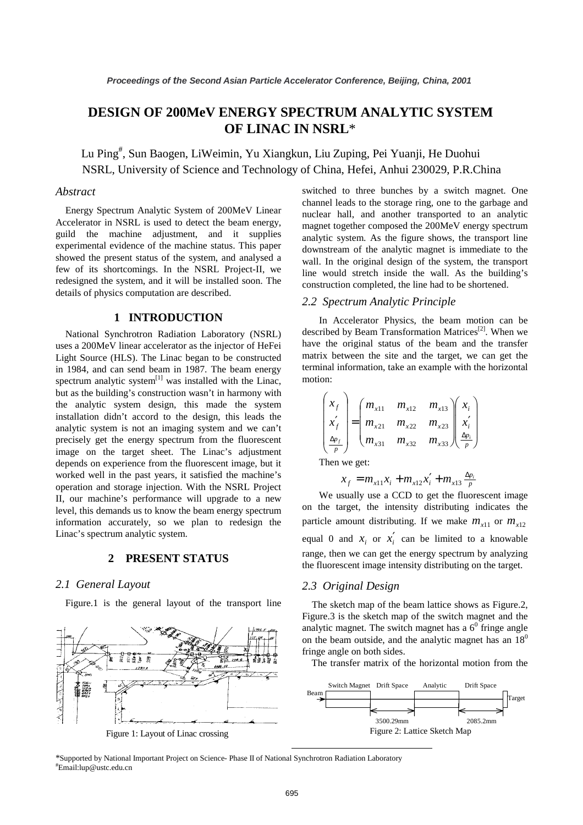# **DESIGN OF 200MeV ENERGY SPECTRUM ANALYTIC SYSTEM OF LINAC IN NSRL**\*

Lu Ping # , Sun Baogen, LiWeimin, Yu Xiangkun, Liu Zuping, Pei Yuanji, He Duohui NSRL, University of Science and Technology of China, Hefei, Anhui 230029, P.R.China

## *Abstract*

Energy Spectrum Analytic System of 200MeV Linear Accelerator in NSRL is used to detect the beam energy, guild the machine adjustment, and it supplies experimental evidence of the machine status. This paper showed the present status of the system, and analysed a few of its shortcomings. In the NSRL Project-II, we redesigned the system, and it will be installed soon. The details of physics computation are described.

# **1 INTRODUCTION**

National Synchrotron Radiation Laboratory (NSRL) uses a 200MeV linear accelerator as the injector of HeFei Light Source (HLS). The Linac began to be constructed in 1984, and can send beam in 1987. The beam energy spectrum analytic system $^{[1]}$  was installed with the Linac, but as the building's construction wasn't in harmony with the analytic system design, this made the system installation didn't accord to the design, this leads the analytic system is not an imaging system and we can't precisely get the energy spectrum from the fluorescent image on the target sheet. The Linac's adjustment depends on experience from the fluorescent image, but it worked well in the past years, it satisfied the machine's operation and storage injection. With the NSRL Project II, our machine's performance will upgrade to a new level, this demands us to know the beam energy spectrum information accurately, so we plan to redesign the Linac's spectrum analytic system.

### **2 PRESENT STATUS**

### *2.1 General Layout*

Figure.1 is the general layout of the transport line



switched to three bunches by a switch magnet. One channel leads to the storage ring, one to the garbage and nuclear hall, and another transported to an analytic magnet together composed the 200MeV energy spectrum analytic system. As the figure shows, the transport line downstream of the analytic magnet is immediate to the wall. In the original design of the system, the transport line would stretch inside the wall. As the building's construction completed, the line had to be shortened.

### *2.2 Spectrum Analytic Principle*

In Accelerator Physics, the beam motion can be described by Beam Transformation Matrices<sup>[2]</sup>. When we have the original status of the beam and the transfer matrix between the site and the target, we can get the terminal information, take an example with the horizontal motion:

$$
\begin{pmatrix} x_f \\ x'_f \\ \frac{\Delta p_f}{p} \end{pmatrix} = \begin{pmatrix} m_{x11} & m_{x12} & m_{x13} \\ m_{x21} & m_{x22} & m_{x23} \\ m_{x31} & m_{x32} & m_{x33} \end{pmatrix} \begin{pmatrix} x_i \\ x'_i \\ \frac{\Delta p_i}{p} \end{pmatrix}
$$

Then we get:

$$
x_f = m_{x11}x_i + m_{x12}x'_i + m_{x13} \frac{\Delta p_i}{p}
$$

We usually use a CCD to get the fluorescent image on the target, the intensity distributing indicates the particle amount distributing. If we make  $m_{x11}$  or  $m_{x12}$ equal 0 and  $x_i$  or  $x'_i$  can be limited to a knowable range, then we can get the energy spectrum by analyzing the fluorescent image intensity distributing on the target.

#### *2.3 Original Design*

The sketch map of the beam lattice shows as Figure.2, Figure.3 is the sketch map of the switch magnet and the analytic magnet. The switch magnet has a  $6<sup>0</sup>$  fringe angle on the beam outside, and the analytic magnet has an  $18<sup>0</sup>$ fringe angle on both sides.

The transfer matrix of the horizontal motion from the



\*Supported by National Important Project on Science- Phase II of National Synchrotron Radiation Laboratory # Email:lup@ustc.edu.cn

 $\overline{a}$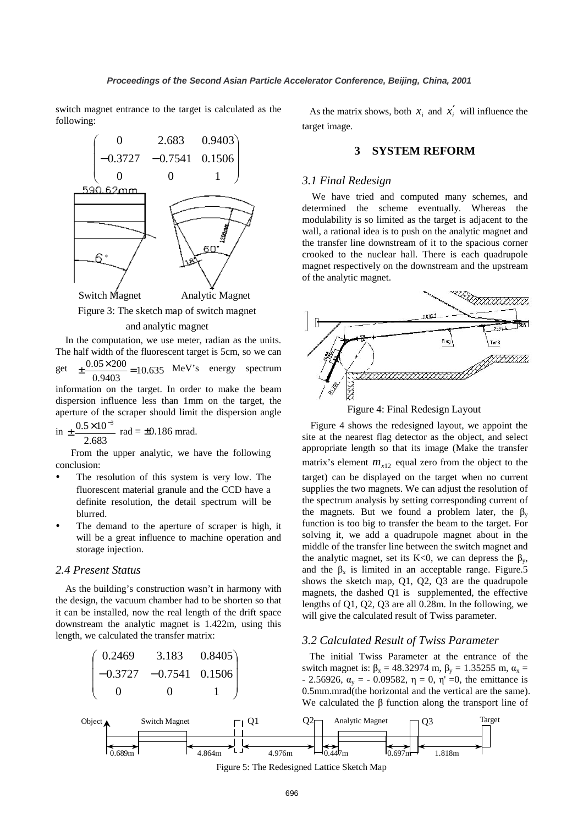switch magnet entrance to the target is calculated as the following:



Figure 3: The sketch map of switch magnet

#### and analytic magnet

In the computation, we use meter, radian as the units. The half width of the fluorescent target is 5cm, so we can

get  $\pm \frac{0.05 \times 200}{0.05 \times 100} = 10.635$  MeV's energy spectrum 0.9403

information on the target. In order to make the beam dispersion influence less than 1mm on the target, the aperture of the scraper should limit the dispersion angle

in 
$$
\pm \frac{0.5 \times 10^{-3}}{2.683}
$$
 rad = ±0.186 mrad.

From the upper analytic, we have the following conclusion:

- The resolution of this system is very low. The fluorescent material granule and the CCD have a definite resolution, the detail spectrum will be blurred.
- The demand to the aperture of scraper is high, it will be a great influence to machine operation and storage injection.

# *2.4 Present Status*

As the building's construction wasn't in harmony with the design, the vacuum chamber had to be shorten so that it can be installed, now the real length of the drift space downstream the analytic magnet is 1.422m, using this length, we calculated the transfer matrix:



As the matrix shows, both  $x_i$  and  $x'_i$  will influence the target image.

# **3 SYSTEM REFORM**

### *3.1 Final Redesign*

We have tried and computed many schemes, and determined the scheme eventually. Whereas the modulability is so limited as the target is adjacent to the wall, a rational idea is to push on the analytic magnet and the transfer line downstream of it to the spacious corner crooked to the nuclear hall. There is each quadrupole magnet respectively on the downstream and the upstream of the analytic magnet.



Figure 4: Final Redesign Layout

Figure 4 shows the redesigned layout, we appoint the site at the nearest flag detector as the object, and select appropriate length so that its image (Make the transfer matrix's element  $m_{x12}$  equal zero from the object to the target) can be displayed on the target when no current supplies the two magnets. We can adjust the resolution of the spectrum analysis by setting corresponding current of the magnets. But we found a problem later, the  $\beta_v$ function is too big to transfer the beam to the target. For solving it, we add a quadrupole magnet about in the middle of the transfer line between the switch magnet and the analytic magnet, set its K<0, we can depress the  $\beta_{\rm v}$ , and the  $\beta_x$  is limited in an acceptable range. Figure.5 shows the sketch map, Q1, Q2, Q3 are the quadrupole magnets, the dashed Q1 is supplemented, the effective lengths of Q1, Q2, Q3 are all 0.28m. In the following, we will give the calculated result of Twiss parameter.

### *3.2 Calculated Result of Twiss Parameter*

 The initial Twiss Parameter at the entrance of the switch magnet is:  $\beta_x = 48.32974$  m,  $\beta_y = 1.35255$  m,  $\alpha_x =$ - 2.56926,  $\alpha_v$  = - 0.09582, η = 0, η' = 0, the emittance is 0.5mm.mrad(the horizontal and the vertical are the same). We calculated the β function along the transport line of



Figure 5: The Redesigned Lattice Sketch Map